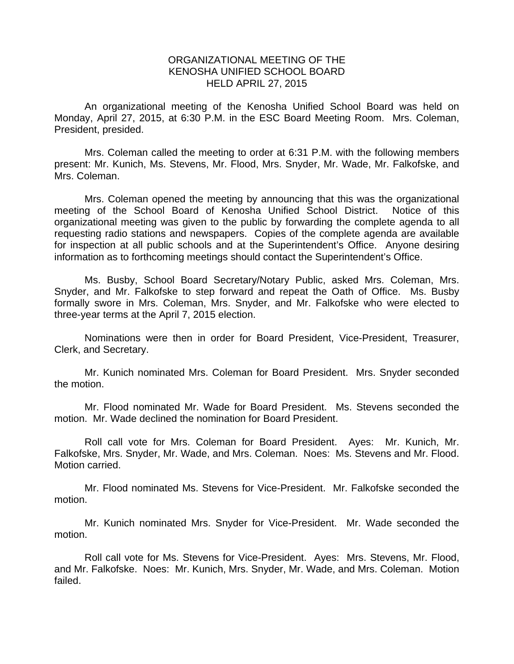## ORGANIZATIONAL MEETING OF THE KENOSHA UNIFIED SCHOOL BOARD HELD APRIL 27, 2015

 An organizational meeting of the Kenosha Unified School Board was held on Monday, April 27, 2015, at 6:30 P.M. in the ESC Board Meeting Room. Mrs. Coleman, President, presided.

 Mrs. Coleman called the meeting to order at 6:31 P.M. with the following members present: Mr. Kunich, Ms. Stevens, Mr. Flood, Mrs. Snyder, Mr. Wade, Mr. Falkofske, and Mrs. Coleman.

 Mrs. Coleman opened the meeting by announcing that this was the organizational meeting of the School Board of Kenosha Unified School District. Notice of this organizational meeting was given to the public by forwarding the complete agenda to all requesting radio stations and newspapers. Copies of the complete agenda are available for inspection at all public schools and at the Superintendent's Office. Anyone desiring information as to forthcoming meetings should contact the Superintendent's Office.

Ms. Busby, School Board Secretary/Notary Public, asked Mrs. Coleman, Mrs. Snyder, and Mr. Falkofske to step forward and repeat the Oath of Office. Ms. Busby formally swore in Mrs. Coleman, Mrs. Snyder, and Mr. Falkofske who were elected to three-year terms at the April 7, 2015 election.

Nominations were then in order for Board President, Vice-President, Treasurer, Clerk, and Secretary.

Mr. Kunich nominated Mrs. Coleman for Board President. Mrs. Snyder seconded the motion.

Mr. Flood nominated Mr. Wade for Board President. Ms. Stevens seconded the motion. Mr. Wade declined the nomination for Board President.

Roll call vote for Mrs. Coleman for Board President. Ayes: Mr. Kunich, Mr. Falkofske, Mrs. Snyder, Mr. Wade, and Mrs. Coleman. Noes: Ms. Stevens and Mr. Flood. Motion carried.

Mr. Flood nominated Ms. Stevens for Vice-President. Mr. Falkofske seconded the motion.

Mr. Kunich nominated Mrs. Snyder for Vice-President. Mr. Wade seconded the motion.

Roll call vote for Ms. Stevens for Vice-President. Ayes: Mrs. Stevens, Mr. Flood, and Mr. Falkofske. Noes: Mr. Kunich, Mrs. Snyder, Mr. Wade, and Mrs. Coleman. Motion failed.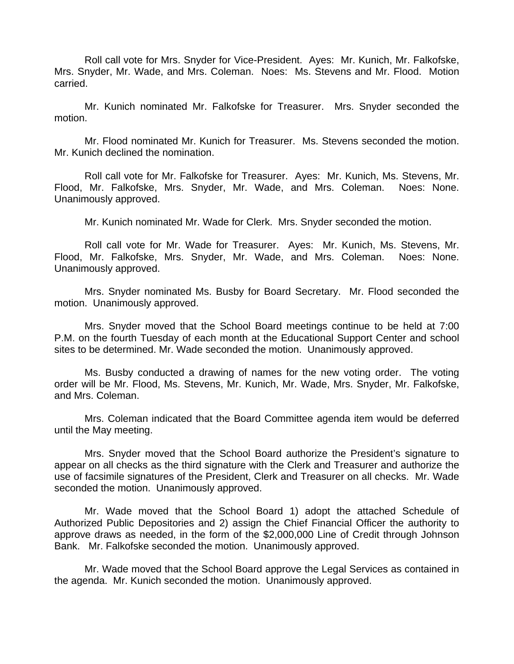Roll call vote for Mrs. Snyder for Vice-President. Ayes: Mr. Kunich, Mr. Falkofske, Mrs. Snyder, Mr. Wade, and Mrs. Coleman. Noes: Ms. Stevens and Mr. Flood. Motion carried.

Mr. Kunich nominated Mr. Falkofske for Treasurer. Mrs. Snyder seconded the motion.

Mr. Flood nominated Mr. Kunich for Treasurer. Ms. Stevens seconded the motion. Mr. Kunich declined the nomination.

Roll call vote for Mr. Falkofske for Treasurer. Ayes: Mr. Kunich, Ms. Stevens, Mr. Flood, Mr. Falkofske, Mrs. Snyder, Mr. Wade, and Mrs. Coleman. Noes: None. Unanimously approved.

Mr. Kunich nominated Mr. Wade for Clerk. Mrs. Snyder seconded the motion.

Roll call vote for Mr. Wade for Treasurer. Ayes: Mr. Kunich, Ms. Stevens, Mr. Flood, Mr. Falkofske, Mrs. Snyder, Mr. Wade, and Mrs. Coleman. Noes: None. Unanimously approved.

Mrs. Snyder nominated Ms. Busby for Board Secretary. Mr. Flood seconded the motion. Unanimously approved.

Mrs. Snyder moved that the School Board meetings continue to be held at 7:00 P.M. on the fourth Tuesday of each month at the Educational Support Center and school sites to be determined. Mr. Wade seconded the motion. Unanimously approved.

Ms. Busby conducted a drawing of names for the new voting order. The voting order will be Mr. Flood, Ms. Stevens, Mr. Kunich, Mr. Wade, Mrs. Snyder, Mr. Falkofske, and Mrs. Coleman.

Mrs. Coleman indicated that the Board Committee agenda item would be deferred until the May meeting.

Mrs. Snyder moved that the School Board authorize the President's signature to appear on all checks as the third signature with the Clerk and Treasurer and authorize the use of facsimile signatures of the President, Clerk and Treasurer on all checks. Mr. Wade seconded the motion. Unanimously approved.

Mr. Wade moved that the School Board 1) adopt the attached Schedule of Authorized Public Depositories and 2) assign the Chief Financial Officer the authority to approve draws as needed, in the form of the \$2,000,000 Line of Credit through Johnson Bank. Mr. Falkofske seconded the motion. Unanimously approved.

Mr. Wade moved that the School Board approve the Legal Services as contained in the agenda. Mr. Kunich seconded the motion. Unanimously approved.